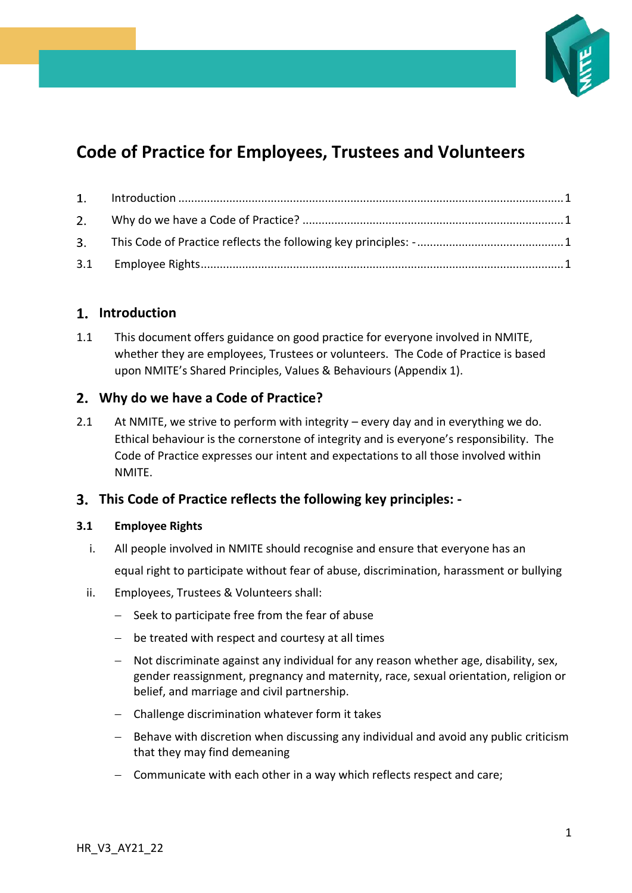

# **Code of Practice for Employees, Trustees and Volunteers**

# <span id="page-0-0"></span>**Introduction**

1.1 This document offers guidance on good practice for everyone involved in NMITE, whether they are employees, Trustees or volunteers. The Code of Practice is based upon NMITE's Shared Principles, Values & Behaviours (Appendix 1).

## <span id="page-0-1"></span>**Why do we have a Code of Practice?**

2.1 At NMITE, we strive to perform with integrity – every day and in everything we do. Ethical behaviour is the cornerstone of integrity and is everyone's responsibility. The Code of Practice expresses our intent and expectations to all those involved within **NMITE** 

## <span id="page-0-2"></span>**This Code of Practice reflects the following key principles: -**

## <span id="page-0-3"></span>**3.1 Employee Rights**

- i. All people involved in NMITE should recognise and ensure that everyone has an equal right to participate without fear of abuse, discrimination, harassment or bullying
- ii. Employees, Trustees & Volunteers shall:
	- − Seek to participate free from the fear of abuse
	- − be treated with respect and courtesy at all times
	- − Not discriminate against any individual for any reason whether age, disability, sex, gender reassignment, pregnancy and maternity, race, sexual orientation, religion or belief, and marriage and civil partnership.
	- − Challenge discrimination whatever form it takes
	- − Behave with discretion when discussing any individual and avoid any public criticism that they may find demeaning
	- − Communicate with each other in a way which reflects respect and care;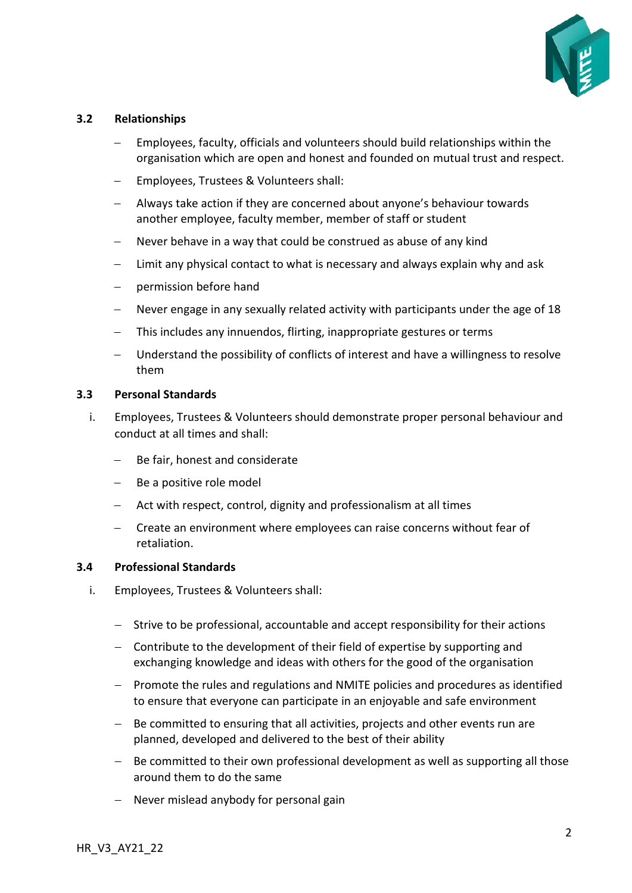

#### **3.2 Relationships**

- Employees, faculty, officials and volunteers should build relationships within the organisation which are open and honest and founded on mutual trust and respect.
- − Employees, Trustees & Volunteers shall:
- − Always take action if they are concerned about anyone's behaviour towards another employee, faculty member, member of staff or student
- − Never behave in a way that could be construed as abuse of any kind
- − Limit any physical contact to what is necessary and always explain why and ask
- permission before hand
- − Never engage in any sexually related activity with participants under the age of 18
- This includes any innuendos, flirting, inappropriate gestures or terms
- − Understand the possibility of conflicts of interest and have a willingness to resolve them

#### **3.3 Personal Standards**

- i. Employees, Trustees & Volunteers should demonstrate proper personal behaviour and conduct at all times and shall:
	- − Be fair, honest and considerate
	- − Be a positive role model
	- Act with respect, control, dignity and professionalism at all times
	- − Create an environment where employees can raise concerns without fear of retaliation.

#### **3.4 Professional Standards**

- i. Employees, Trustees & Volunteers shall:
	- − Strive to be professional, accountable and accept responsibility for their actions
	- − Contribute to the development of their field of expertise by supporting and exchanging knowledge and ideas with others for the good of the organisation
	- − Promote the rules and regulations and NMITE policies and procedures as identified to ensure that everyone can participate in an enjoyable and safe environment
	- − Be committed to ensuring that all activities, projects and other events run are planned, developed and delivered to the best of their ability
	- − Be committed to their own professional development as well as supporting all those around them to do the same
	- − Never mislead anybody for personal gain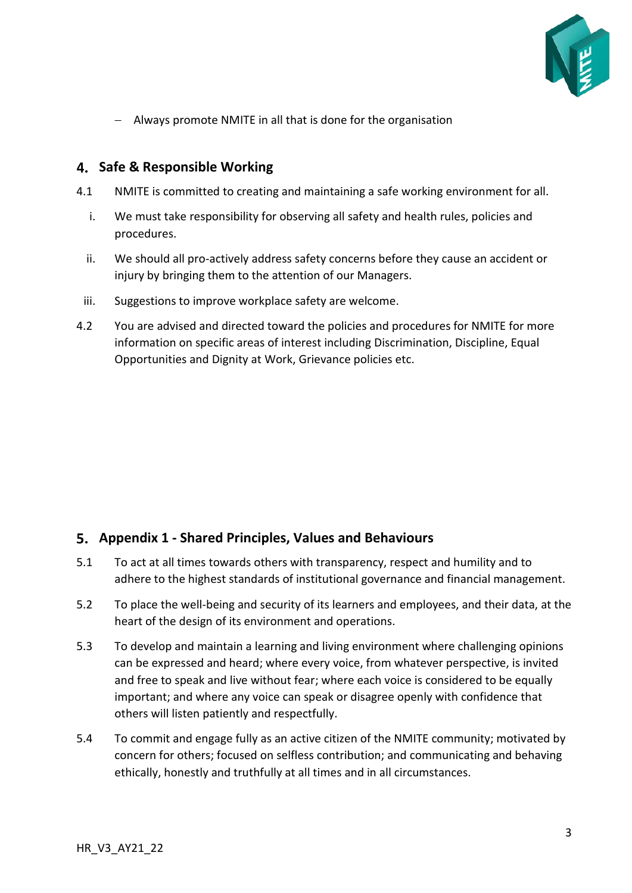

− Always promote NMITE in all that is done for the organisation

## **Safe & Responsible Working**

- 4.1 NMITE is committed to creating and maintaining a safe working environment for all.
	- i. We must take responsibility for observing all safety and health rules, policies and procedures.
	- ii. We should all pro-actively address safety concerns before they cause an accident or injury by bringing them to the attention of our Managers.
- iii. Suggestions to improve workplace safety are welcome.
- 4.2 You are advised and directed toward the policies and procedures for NMITE for more information on specific areas of interest including Discrimination, Discipline, Equal Opportunities and Dignity at Work, Grievance policies etc.

## **Appendix 1 - Shared Principles, Values and Behaviours**

- 5.1 To act at all times towards others with transparency, respect and humility and to adhere to the highest standards of institutional governance and financial management.
- 5.2 To place the well-being and security of its learners and employees, and their data, at the heart of the design of its environment and operations.
- 5.3 To develop and maintain a learning and living environment where challenging opinions can be expressed and heard; where every voice, from whatever perspective, is invited and free to speak and live without fear; where each voice is considered to be equally important; and where any voice can speak or disagree openly with confidence that others will listen patiently and respectfully.
- 5.4 To commit and engage fully as an active citizen of the NMITE community; motivated by concern for others; focused on selfless contribution; and communicating and behaving ethically, honestly and truthfully at all times and in all circumstances.